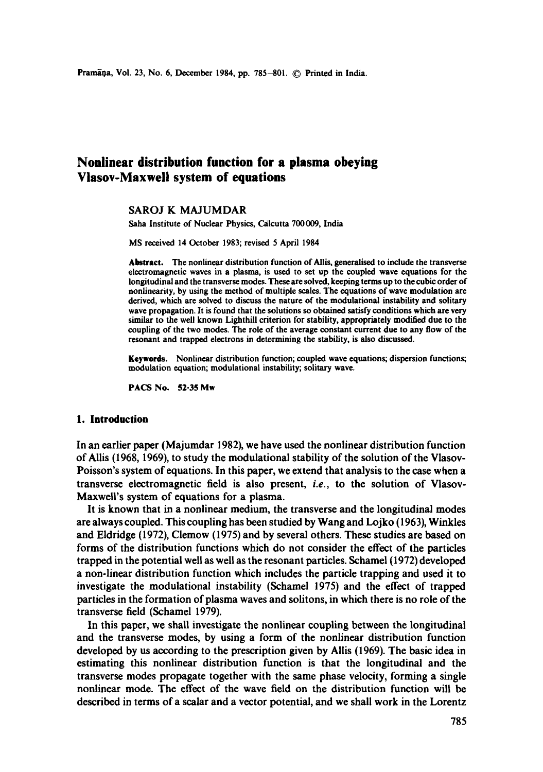# **Nonlinear distribution function for a plasma obeying Viasov-Maxweil system of equations**

# SAROJ K MAJUMDAR

Saha Institute of Nuclear Physics, Calcutta 700 009, India

MS received 14 October 1983; revised 5 April 1984

**Abstract.** The nonlinear distribution function of Allis, ganeralised to include the transverse electromagnetic waves in a plasma, is used to set up the coupled wave equations for the longitudinal and the transverse modes. These are solved, keeping terms up to the cubic order of nonlinearity, by using the method of multiple scales. The equations of wave modulation are derived, which are solved to discuss the nature of the modulational instability and solitary wave propagation. It is found that the solutions so obtained satisfy conditions which are very similar to the well known Lighthill criterion for stability, appropriately modified due to the coupling of the two modes. The role of the average constant current due to any flow of the resonant and trapped electrons in determining the stability, is also discussed.

Keywords. Nonlinear distribution function; coupled wave equations; dispersion functions; modulation equation; modulational instability; solitary wave.

**PACS No. 52.35 Mw** 

# **I. Introduction**

In an earlier paper (Majumdar 1982), we have used the nonlinear distribution function of AUis (1968, 1969), to study the modulational stability of the solution of the Vlasov-Poisson's system of equations. In this paper, we extend that analysis to the case when a transverse electromagnetic field is also present, *i.e.,* to the solution of Vlasov-Maxwell's system of equations for a plasma.

It is known that in a nonlinear medium, the transverse and the longitudinal modes are always coupled. This coupling has been studied by Wang and Lojko (1963), Winkles and Eldridge (1972), Clemow (1975) and by several others. These studies are based on forms of the distribution functions which do not consider the effect of the particles trapped in the potential well as well as the resonant particles. Schamel (1972) developed a non-linear distribution function which includes the particle trapping and used it to investigate the modulational instability (Schamel 1975) and the effect of trapped particles in the formation of plasma waves and solitons, in which there is no role of the transverse field (Schamel 1979).

In this paper, we shall investigate the nonlinear coupling between the longitudinal and the transverse modes, by using a form of the nonlinear distribution function developed by us according to the prescription given by Allis (1969). The basic idea in estimating this nonlinear distribution function is that the longitudinal and the transverse modes propagate together with the same phase velocity, forming a single nonlinear mode. The effect of the wave field on the distribution function will be described in terms of a scalar and a vector potential, and we shall work in the Lorentz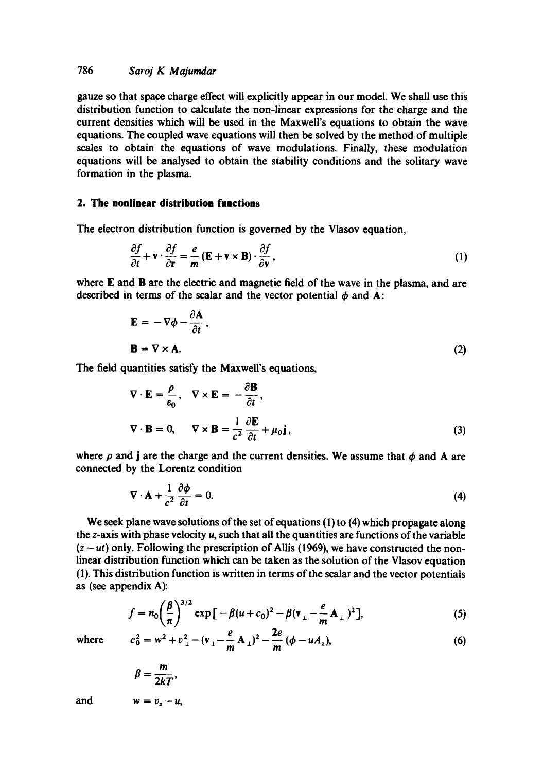gauze so that space charge effect will explicitly appear in our model. We shall use this distribution function to calculate the non-linear expressions for the charge and the current densities which will be used in the Maxwell's equations to obtain the wave equations. The coupled wave equations will then be solved by the method of multiple scales to obtain the equations of wave modulations. Finally, these modulation equations will be analysed to obtain the stability conditions and the solitary wave formation in the plasma.

## **2. The nonlinear distribution functions**

The electron distribution function is governed by the Vlasov equation,

$$
\frac{\partial f}{\partial t} + \mathbf{v} \cdot \frac{\partial f}{\partial \mathbf{r}} = \frac{e}{m} \left( \mathbf{E} + \mathbf{v} \times \mathbf{B} \right) \cdot \frac{\partial f}{\partial \mathbf{v}},\tag{1}
$$

where  $E$  and  $B$  are the electric and magnetic field of the wave in the plasma, and are described in terms of the scalar and the vector potential  $\phi$  and A:

$$
\mathbf{E} = -\nabla \phi - \frac{\partial \mathbf{A}}{\partial t},
$$
  

$$
\mathbf{B} = \nabla \times \mathbf{A}.
$$
 (2)

The field quantities satisfy the Maxwell's equations,

$$
\nabla \cdot \mathbf{E} = \frac{\rho}{\varepsilon_0}, \quad \nabla \times \mathbf{E} = -\frac{\partial \mathbf{B}}{\partial t},
$$
  

$$
\nabla \cdot \mathbf{B} = 0, \quad \nabla \times \mathbf{B} = \frac{1}{c^2} \frac{\partial \mathbf{E}}{\partial t} + \mu_0 \mathbf{j},
$$
 (3)

where  $\rho$  and j are the charge and the current densities. We assume that  $\phi$  and A are connected by the Lorentz condition

$$
\nabla \cdot \mathbf{A} + \frac{1}{c^2} \frac{\partial \phi}{\partial t} = 0.
$$
 (4)

We seek plane wave solutions of the set of equations (1) to (4) which propagate along the  $z$ -axis with phase velocity  $u$ , such that all the quantities are functions of the variable  $(z - ut)$  only. Following the prescription of Allis (1969), we have constructed the nonlinear distribution function which can be taken as the solution of the Vlasov equation (1). This distribution function is written in terms of the scalar and the vector potentials as (see appendix A):

$$
f = n_0 \left(\frac{\beta}{\pi}\right)^{3/2} \exp\left[-\beta (u + c_0)^2 - \beta (v_{\perp} - \frac{e}{m} A_{\perp})^2\right],
$$
 (5)

where 
$$
c_0^2 = w^2 + v_\perp^2 - (v_\perp - \frac{e}{m} A_\perp)^2 - \frac{2e}{m} (\phi - u A_z),
$$
 (6)

$$
\beta=\frac{m}{2kT},
$$

and 
$$
w = v_z - u,
$$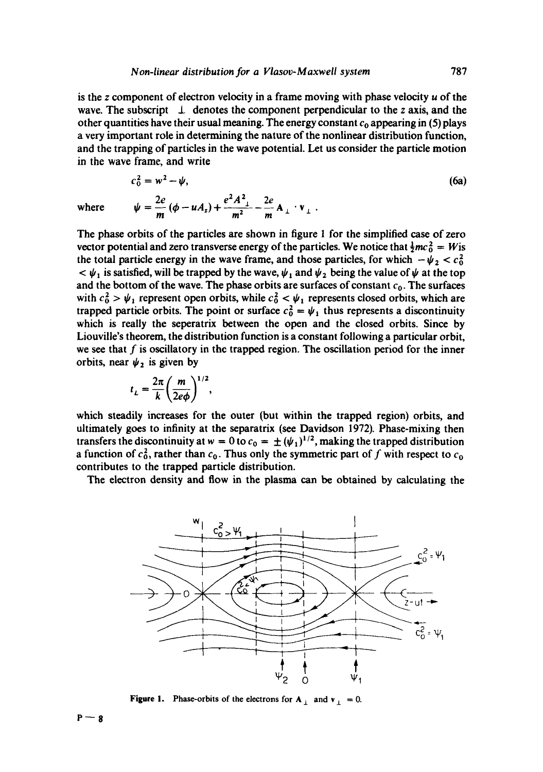is the z component of electron velocity in a frame moving with phase velocity  $u$  of the wave. The subscript  $\perp$  denotes the component perpendicular to the z axis, and the other quantities have their usual meaning. The energy constant  $c_0$  appearing in (5) plays a very important role in determining the nature of the nonlinear distribution function, and the trapping of particles in the wave potential. Let us consider the particle motion in the wave frame, and write

$$
c_0^2 = w^2 - \psi,
$$
  
(6a)  

$$
\psi = \frac{2e}{m} (\phi - uA_z) + \frac{e^2 A_{\perp}^2}{m^2} - \frac{2e}{m} A_{\perp} \cdot v_{\perp}.
$$

The phase orbits of the particles are shown in figure 1 for the simplified case of zero vector potential and zero transverse energy of the particles. We notice that  $\frac{1}{2}mc_0^2 = W$  is the total particle energy in the wave frame, and those particles, for which  $-\psi_2 < c_0^2$  $<\psi_1$  is satisfied, will be trapped by the wave,  $\psi_1$  and  $\psi_2$  being the value of  $\psi$  at the top and the bottom of the wave. The phase orbits are surfaces of constant  $c_0$ . The surfaces with  $c_0^2 > \psi_1$  represent open orbits, while  $c_0^2 < \psi_1$  represents closed orbits, which are trapped particle orbits. The point or surface  $c_0^2 = \psi_1$  thus represents a discontinuity which is really the seperatrix between the open and the closed orbits. Since by Liouville's theorem, the distribution function is a constant following a particular orbit, we see that  $f$  is oscillatory in the trapped region. The oscillation period for the inner orbits, near  $\psi_2$  is given by

$$
t_L = \frac{2\pi}{k} \left(\frac{m}{2e\phi}\right)^{1/2},
$$

which steadily increases for the outer (but within the trapped region) orbits, and ultimately goes to infinity at the separatrix (see Davidson 1972). Phase-mixing then transfers the discontinuity at  $w = 0$  to  $c_0 = \pm (\psi_1)^{1/2}$ , making the trapped distribution a function of  $c_0^2$ , rather than  $c_0$ . Thus only the symmetric part of f with respect to  $c_0$ contributes to the trapped particle distribution.

The electron density and flow in the plasma can be obtained by calculating the



**Figure 1.** Phase-orbits of the electrons for  $A_{\perp}$  and  $v_{\perp} = 0$ .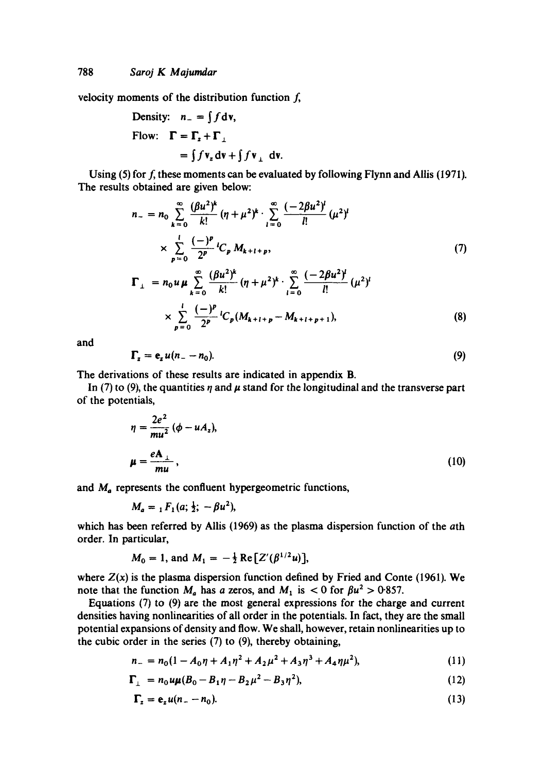velocity moments of the distribution function  $f<sub>i</sub>$ ,

Density: 
$$
n_{-} = \int f \, dv
$$
,  
Flow:  $\Gamma = \Gamma_{z} + \Gamma_{\perp}$   
 $= \int f \, v_{z} \, dv + \int f \, v_{\perp} \, dv$ .

Using (5) for  $f$ , these moments can be evaluated by following Flynn and Allis (1971). The results obtained are given below:

$$
n_{-} = n_{0} \sum_{k=0}^{\infty} \frac{(\beta u^{2})^{k}}{k!} (\eta + \mu^{2})^{k} \cdot \sum_{l=0}^{\infty} \frac{(-2\beta u^{2})^{l}}{l!} (\mu^{2})^{l}
$$
  
\n
$$
\times \sum_{p=0}^{l} \frac{(-)^{p}}{2^{p}} {}^{l}C_{p} M_{k+l+p}, \qquad (7)
$$
  
\n
$$
\Gamma_{\perp} = n_{0} u \mu \sum_{k=0}^{\infty} \frac{(\beta u^{2})^{k}}{k!} (\eta + \mu^{2})^{k} \cdot \sum_{l=0}^{\infty} \frac{(-2\beta u^{2})^{l}}{l!} (\mu^{2})^{l}
$$
  
\n
$$
\times \sum_{p=0}^{l} \frac{(-)^{p}}{2^{p}} {}^{l}C_{p} (M_{k+l+p} - M_{k+l+p+1}), \qquad (8)
$$

and

$$
\Gamma_z = \mathbf{e}_z u (n_- - n_0). \tag{9}
$$

The derivations of these results are indicated in appendix B.

In (7) to (9), the quantities  $\eta$  and  $\mu$  stand for the longitudinal and the transverse part of the potentials,

$$
\eta = \frac{2e^2}{mu^2} (\phi - uA_z),
$$
  

$$
\mu = \frac{eA_{\perp}}{mu},
$$
 (10)

and  $M_a$  represents the confluent hypergeometric functions,

$$
M_a = {}_1F_1(a; \frac{1}{2}; -\beta u^2),
$$

which has been referred by Allis (1969) as the plasma dispersion function of the ath order. In particular,

$$
M_0 = 1
$$
, and  $M_1 = -\frac{1}{2} \text{Re} [Z'(\beta^{1/2}u)],$ 

where  $Z(x)$  is the plasma dispersion function defined by Fried and Conte (1961). We note that the function  $M_a$  has a zeros, and  $M_1$  is < 0 for  $\beta u^2 > 0.857$ .

Equations (7) to (9) are the most general expressions for the charge and current densities having nonlinearities of all order in the potentials. In fact, they are the small potential expansions of density and flow. We shall, however, retain nonlinearities up to the cubic order in the series (7) to (9), thereby obtaining,

$$
n_{-} = n_{0}(1 - A_{0}\eta + A_{1}\eta^{2} + A_{2}\mu^{2} + A_{3}\eta^{3} + A_{4}\eta\mu^{2}), \qquad (11)
$$

$$
\Gamma_{\perp} = n_0 u \mu (B_0 - B_1 \eta - B_2 \mu^2 - B_3 \eta^2), \qquad (12)
$$

$$
\Gamma_z = \mathbf{e}_z u (n_z - n_0). \tag{13}
$$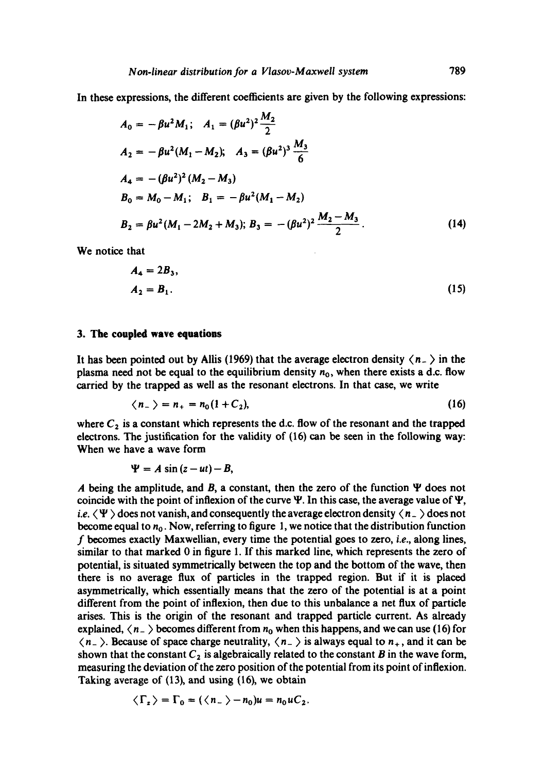In these expressions, the different coefficients are given by the following expressions:

$$
A_0 = -\beta u^2 M_1; \quad A_1 = (\beta u^2)^2 \frac{M_2}{2}
$$
  
\n
$$
A_2 = -\beta u^2 (M_1 - M_2); \quad A_3 = (\beta u^2)^3 \frac{M_3}{6}
$$
  
\n
$$
A_4 = -(\beta u^2)^2 (M_2 - M_3)
$$
  
\n
$$
B_0 = M_0 - M_1; \quad B_1 = -\beta u^2 (M_1 - M_2)
$$
  
\n
$$
B_2 = \beta u^2 (M_1 - 2M_2 + M_3); \quad B_3 = -(\beta u^2)^2 \frac{M_2 - M_3}{2}.
$$
 (14)

We notice that

$$
A_4 = 2B_3, A_2 = B_1.
$$
 (15)

## **3. The coupled wave equations**

It has been pointed out by Allis (1969) that the average electron density  $\langle n_{-}\rangle$  in the plasma need not be equal to the equilibrium density  $n_0$ , when there exists a d.c. flow carried by the trapped as well as the resonant electrons. In that case, we write

$$
\langle n_{-} \rangle = n_{+} = n_{0} (1 + C_{2}), \qquad (16)
$$

where  $C_2$  is a constant which represents the d.c. flow of the resonant and the trapped electrons. The justification for the validity of (16) can be seen in the following way: When we have a wave form

$$
\Psi = A \sin{(z - ut)} - B,
$$

A being the amplitude, and B, a constant, then the zero of the function  $\Psi$  does not coincide with the point of inflexion of the curve  $\Psi$ . In this case, the average value of  $\Psi$ , *i.e.*  $\langle \Psi \rangle$  does not vanish, and consequently the average electron density  $\langle n_{-} \rangle$  does not become equal to  $n_0$ . Now, referring to figure 1, we notice that the distribution function f becomes exactly Maxwellian, every time the potential goes to zero, i.e., along lines, similar to that marked 0 in figure 1. If this marked line, which represents the zero of potential, is situated symmetrically between the top and the bottom of the wave, then there is no average flux of particles in the trapped region. But if it is placed asymmetrically, which essentially means that the zero of the potential is at a point different from the point of inflexion, then due to this unbalance a net flux of particle arises. This is the origin of the resonant and trapped particle current. As already explained,  $\langle n_{-} \rangle$  becomes different from  $n_0$  when this happens, and we can use (16) for  $\langle n_{-} \rangle$ . Because of space charge neutrality,  $\langle n_{-} \rangle$  is always equal to  $n_{+}$ , and it can be shown that the constant  $C_2$  is algebraically related to the constant B in the wave form, measuring the deviation of the zero position of the potential from its point ofinflexion. Taking average of (13), and using (16), we obtain

$$
\langle \Gamma_z \rangle = \Gamma_0 = (\langle n_- \rangle - n_0)u = n_0 uC_2.
$$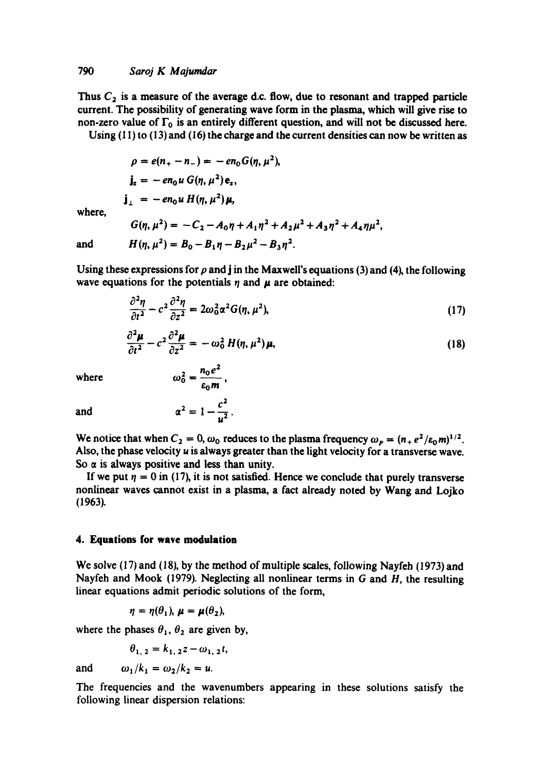Thus  $C_2$  is a measure of the average d.c. flow, due to resonant and trapped particle current. The possibility of generating wave form in the plasma, which will give rise to non-zero value of  $\Gamma_0$  is an entirely different question, and will not be discussed here.

Using  $(11)$  to  $(13)$  and  $(16)$  the charge and the current densities can now be written as

 $\rho = e(n_{+} - n_{-}) = -en_{0}G(n, \mu^{2}),$  $j_z = -en_0u G(n, \mu^2)e_z$  $j_{\perp} = -en_0 u H(\eta, \mu^2) \mu$ 

where,

 $G(\eta, \mu^2) = -C_2 - A_0 \eta + A_1 \eta^2 + A_2 \mu^2 + A_3 \eta^2 + A_4 \eta \mu^2$  $H(n, \mu^2) = B_0 - B_1 n - B_2 \mu^2 - B_3 n^2$ .

and

Using these expressions for  $\rho$  and j in the Maxwell's equations (3) and (4), the following wave equations for the potentials  $\eta$  and  $\mu$  are obtained:

$$
\frac{\partial^2 \eta}{\partial t^2} - c^2 \frac{\partial^2 \eta}{\partial z^2} = 2\omega_0^2 \alpha^2 G(\eta, \mu^2),\tag{17}
$$

$$
\frac{\partial^2 \mu}{\partial t^2} - c^2 \frac{\partial^2 \mu}{\partial z^2} = -\omega_0^2 H(\eta, \mu^2) \mu,
$$
\n(18)

where *~0~ = hoe* 

$$
\omega_0^2=\frac{n_0e^2}{\epsilon_0m},
$$

 $\mathbf{r}^2$ 

and  $\alpha^2 = 1 - \frac{1}{\alpha^2}$ .

We notice that when  $C_2 = 0$ ,  $\omega_0$  reduces to the plasma frequency  $\omega_p = (n_+ e^2/\varepsilon_0 m)^{1/2}$ . Also, the phase velocity u is always greater than the light velocity for a transverse wave. So  $\alpha$  is always positive and less than unity.

If we put  $\eta = 0$  in (17), it is not satisfied. Hence we conclude that purely transverse nonlinear waves cannot exist in a plasma, a fact already noted by Wang and Lojko (1963).

# **4. Equations for wave modulation**

We solve  $(17)$  and  $(18)$ , by the method of multiple scales, following Nayfeh (1973) and Nayfeh and Mook (1979). Neglecting all nonlinear terms in  $G$  and  $H$ , the resulting linear equations admit periodic solutions of the form,

$$
\eta = \eta(\theta_1), \mu = \mu(\theta_2),
$$

where the phases  $\theta_1$ ,  $\theta_2$  are given by,

$$
\theta_{1,2} = k_{1,2}z - \omega_{1,2}t,
$$

and  $\omega_1/k_1 = \omega_2/k_2 = u$ .

The frequencies and the wavenumbers appearing in these solutions satisfy the following linear dispersion relations: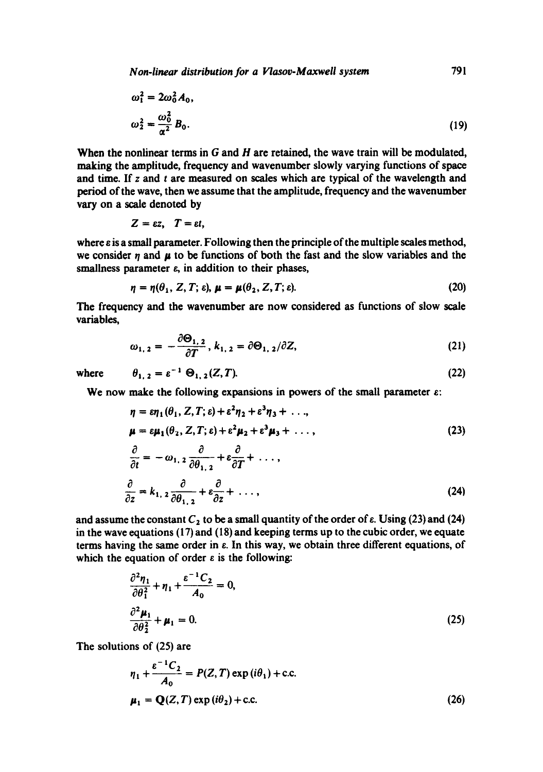*Non-linear distribution for a Vlasov-Maxweli system* 791

$$
\omega_1^2 = 2\omega_0^2 A_0,
$$
  

$$
\omega_2^2 = \frac{\omega_0^2}{\alpha^2} B_0.
$$
 (19)

When the nonlinear terms in G and H are retained, the wave train will be modulated, making the amplitude, frequency and wavenumber slowly varying functions of space and time. If  $z$  and  $t$  are measured on scales which are typical of the wavelength and period of the wave, then we assume that the amplitude, frequency and the wavenumber vary on a scale denoted by

$$
Z=\varepsilon z, \quad T=\varepsilon t,
$$

 $\overline{a}$ 

where  $\varepsilon$  is a small parameter. Following then the principle of the multiple scales method, we consider  $\eta$  and  $\mu$  to be functions of both the fast and the slow variables and the smallness parameter  $\varepsilon$ , in addition to their phases,

$$
\eta = \eta(\theta_1, Z, T; \varepsilon), \mu = \mu(\theta_2, Z, T; \varepsilon). \tag{20}
$$

The frequency and the wavenumber are now considered as functions of slow scale variables,

$$
\omega_{1,2} = -\frac{\partial \Theta_{1,2}}{\partial T}, k_{1,2} = \partial \Theta_{1,2}/\partial Z,
$$
\n(21)

where 
$$
\theta_{1,2} = \varepsilon^{-1} \Theta_{1,2}(Z,T). \tag{22}
$$

We now make the following expansions in powers of the small parameter  $\varepsilon$ :

$$
\eta = \varepsilon \eta_1(\theta_1, Z, T; \varepsilon) + \varepsilon^2 \eta_2 + \varepsilon^3 \eta_3 + \dots,
$$
  
\n
$$
\mu = \varepsilon \mu_1(\theta_2, Z, T; \varepsilon) + \varepsilon^2 \mu_2 + \varepsilon^3 \mu_3 + \dots,
$$
  
\n
$$
\frac{\partial}{\partial t} = -\omega_{1,2} \frac{\partial}{\partial \theta_{1,2}} + \varepsilon \frac{\partial}{\partial T} + \dots,
$$
  
\n
$$
\frac{\partial}{\partial z} = k_{1,2} \frac{\partial}{\partial \theta_{1,2}} + \varepsilon \frac{\partial}{\partial z} + \dots,
$$
\n(24)

and assume the constant  $C_2$  to be a small quantity of the order of  $\varepsilon$ . Using (23) and (24) in the wave equations (17) and (18) and keeping terms up to the cubic order, we equate terms having the same order in e. In this way, we obtain three different equations, of which the equation of order  $\varepsilon$  is the following:

$$
\frac{\partial^2 \eta_1}{\partial \theta_1^2} + \eta_1 + \frac{\varepsilon^{-1} C_2}{A_0} = 0,
$$
  

$$
\frac{\partial^2 \mu_1}{\partial \theta_2^2} + \mu_1 = 0.
$$
 (25)

The solutions of (25) are

$$
\eta_1 + \frac{\varepsilon^{-1} C_2}{A_0} = P(Z, T) \exp(i\theta_1) + \text{c.c.}
$$
  

$$
\mu_1 = \mathbf{Q}(Z, T) \exp(i\theta_2) + \text{c.c.}
$$
 (26)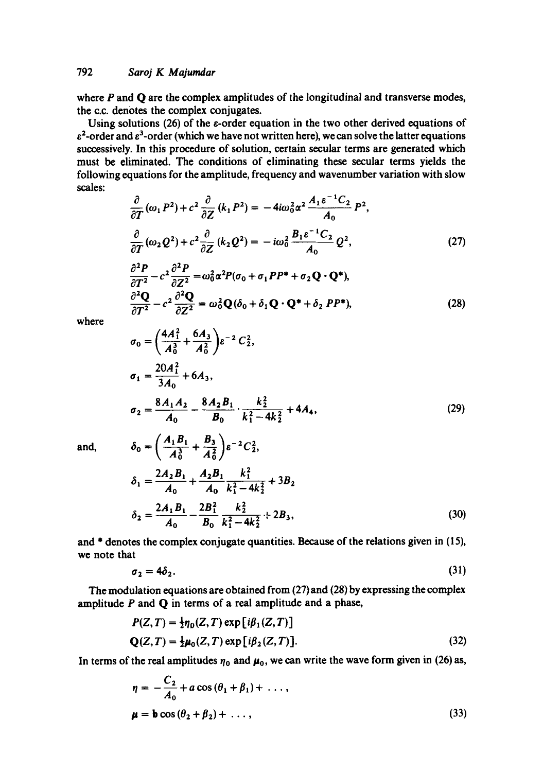where  $P$  and  $Q$  are the complex amplitudes of the longitudinal and transverse modes, the c.c. denotes the complex conjugates.

Using solutions (26) of the  $\varepsilon$ -order equation in the two other derived equations of  $\varepsilon^2$ -order and  $\varepsilon^3$ -order (which we have not written here), we can solve the latter equations successively. In this procedure of solution, certain secular terms are generated which must be eliminated. The conditions of eliminating these secular terms yields the following equations for the amplitude, frequency and wavenumber variation with slow scales:

$$
\frac{\partial}{\partial T}(\omega_1 P^2) + c^2 \frac{\partial}{\partial Z}(k_1 P^2) = -4i\omega_0^2 \alpha^2 \frac{A_1 \varepsilon^{-1} C_2}{A_0} P^2,
$$
\n
$$
\frac{\partial}{\partial T}(\omega_2 Q^2) + c^2 \frac{\partial}{\partial Z}(k_2 Q^2) = -i\omega_0^2 \frac{B_1 \varepsilon^{-1} C_2}{A_0} Q^2,
$$
\n
$$
\frac{\partial^2 P}{\partial T^2} - c^2 \frac{\partial^2 P}{\partial Z^2} = \omega_0^2 \alpha^2 P(\sigma_0 + \sigma_1 P P^* + \sigma_2 Q \cdot Q^*),
$$
\n
$$
\frac{\partial^2 Q}{\partial T^2} - c^2 \frac{\partial^2 Q}{\partial Z^2} = \omega_0^2 Q(\delta_0 + \delta_1 Q \cdot Q^* + \delta_2 P P^*),
$$
\n(28)

where

$$
\sigma_0 = \left(\frac{4A_1^2}{A_0^3} + \frac{6A_3}{A_0^2}\right) \varepsilon^{-2} C_2^2,
$$
  
\n
$$
\sigma_1 = \frac{20A_1^2}{3A_0} + 6A_3,
$$
  
\n
$$
\sigma_2 = \frac{8A_1A_2}{A_0} - \frac{8A_2B_1}{B_0} \cdot \frac{k_2^2}{k_1^2 - 4k_2^2} + 4A_4,
$$
\n(29)

and, 
$$
\delta_0 = \left(\frac{A_1 B_1}{A_0^3} + \frac{B_3}{A_0^2}\right) e^{-2} C_2^2,
$$
  

$$
\delta_1 = \frac{2A_2 B_1}{A_0} + \frac{A_2 B_1}{A_0} \frac{k_1^2}{k_1^2 - 4k_2^2} + 3B_2
$$
  

$$
\delta_2 = \frac{2A_1 B_1}{A_0} - \frac{2B_1^2}{B_0} \frac{k_2^2}{k_1^2 - 4k_2^2} + 2B_3,
$$
 (30)

and \* denotes the complex conjugate quantities. Because of the relations given in (15), we note that

$$
\sigma_2 = 4\delta_2. \tag{31}
$$

The modulation equations are obtained from (27) and (28) by expressing the complex amplitude  $P$  and  $Q$  in terms of a real amplitude and a phase,

$$
P(Z,T) = \frac{1}{2}\eta_0(Z,T) \exp[i\beta_1(Z,T)]
$$
  
Q(Z,T) =  $\frac{1}{2}\mu_0(Z,T) \exp[i\beta_2(Z,T)].$  (32)

In terms of the real amplitudes  $\eta_0$  and  $\mu_0$ , we can write the wave form given in (26) as,

$$
\eta = -\frac{C_2}{A_0} + a\cos(\theta_1 + \beta_1) + \dots,
$$
  

$$
\mu = \mathbf{b}\cos(\theta_2 + \beta_2) + \dots,
$$
 (33)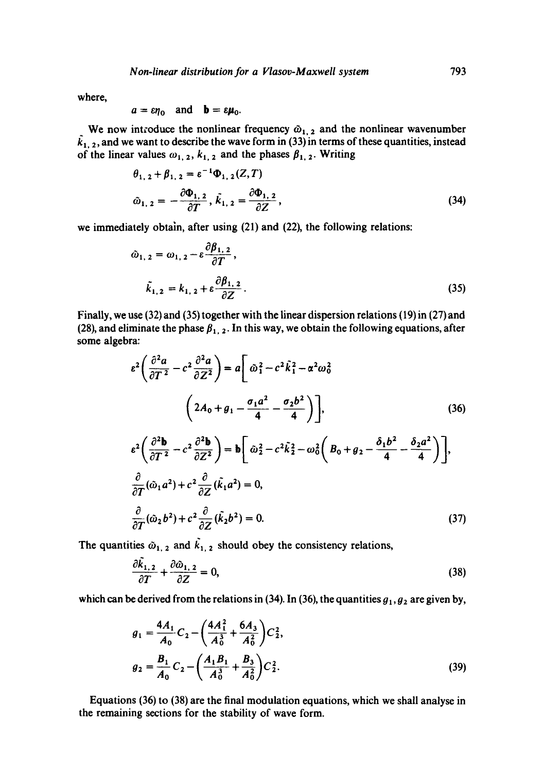where,

$$
a = \varepsilon \eta_0
$$
 and  $b = \varepsilon \mu_0$ .

We now introduce the nonlinear frequency  $\tilde{\omega}_{1,2}$  and the nonlinear wavenumber  $\tilde{k}_{1, 2}$ , and we want to describe the wave form in (33) in terms of these quantities, instead of the linear values  $\omega_{1, 2}$ ,  $k_{1, 2}$  and the phases  $\beta_{1, 2}$ . Writing

$$
\theta_{1,2} + \beta_{1,2} = \varepsilon^{-1} \Phi_{1,2}(Z,T)
$$
  

$$
\tilde{\omega}_{1,2} = -\frac{\partial \Phi_{1,2}}{\partial T}, \tilde{k}_{1,2} = \frac{\partial \Phi_{1,2}}{\partial Z},
$$
 (34)

we immediately obtain, after using (21) and (22), the following relations:

$$
\hat{\omega}_{1, 2} = \omega_{1, 2} - \varepsilon \frac{\partial \beta_{1, 2}}{\partial T},
$$
  

$$
\tilde{k}_{1, 2} = k_{1, 2} + \varepsilon \frac{\partial \beta_{1, 2}}{\partial Z}.
$$
 (35)

Finally, we use (32) and (35) together with the linear dispersion relations (19) in (27) and (28), and eliminate the phase  $\beta_{1,2}$ . In this way, we obtain the following equations, after some algebra:

$$
\varepsilon^{2} \left( \frac{\partial^{2} a}{\partial T^{2}} - c^{2} \frac{\partial^{2} a}{\partial Z^{2}} \right) = a \left[ \omega_{1}^{2} - c^{2} \tilde{k}_{1}^{2} - \alpha^{2} \omega_{0}^{2} \right]
$$
\n
$$
\left( 2A_{0} + g_{1} - \frac{\sigma_{1} a^{2}}{4} - \frac{\sigma_{2} b^{2}}{4} \right) \right], \qquad (36)
$$
\n
$$
\varepsilon^{2} \left( \frac{\partial^{2} b}{\partial T^{2}} - c^{2} \frac{\partial^{2} b}{\partial Z^{2}} \right) = b \left[ \omega_{2}^{2} - c^{2} \tilde{k}_{2}^{2} - \omega_{0}^{2} \left( B_{0} + g_{2} - \frac{\delta_{1} b^{2}}{4} - \frac{\delta_{2} a^{2}}{4} \right) \right],
$$
\n
$$
\frac{\partial}{\partial T} (\tilde{\omega}_{1} a^{2}) + c^{2} \frac{\partial}{\partial Z} (\tilde{k}_{1} a^{2}) = 0,
$$
\n
$$
\frac{\partial}{\partial T} (\tilde{\omega}_{2} b^{2}) + c^{2} \frac{\partial}{\partial Z} (\tilde{k}_{2} b^{2}) = 0. \qquad (37)
$$

The quantities  $\tilde{\omega}_{1,2}$  and  $\tilde{k}_{1,2}$  should obey the consistency relations,

$$
\frac{\partial \dot{x}_{1,2}}{\partial T} + \frac{\partial \dot{\omega}_{1,2}}{\partial Z} = 0, \tag{38}
$$

which can be derived from the relations in (34). In (36), the quantities  $g_1, g_2$  are given by,

$$
g_1 = \frac{4A_1}{A_0} C_2 - \left(\frac{4A_1^2}{A_0^3} + \frac{6A_3}{A_0^2}\right) C_2^2,
$$
  

$$
g_2 = \frac{B_1}{A_0} C_2 - \left(\frac{A_1B_1}{A_0^3} + \frac{B_3}{A_0^2}\right) C_2^2.
$$
 (39)

Equations (36) to (38) are the final modulation equations, which we shall analyse in the remaining sections for the stability of wave form.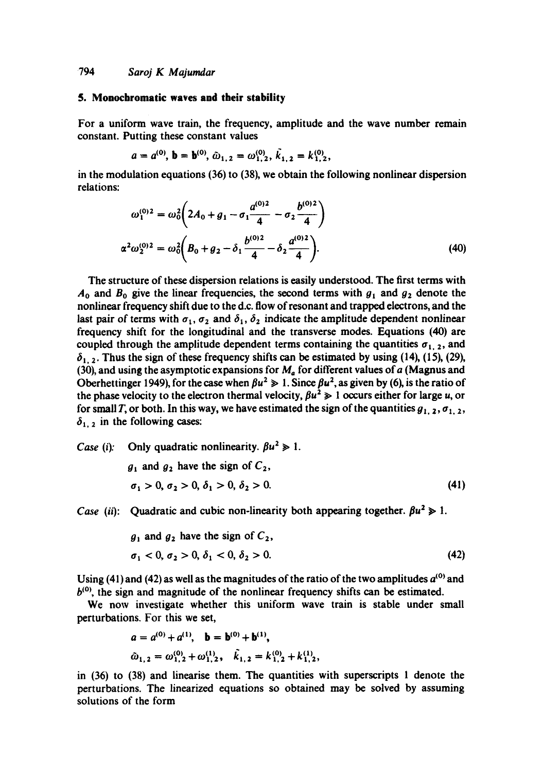### **5. Monochromatic waves and their stability**

For a uniform wave train, the frequency, amplitude and the wave number remain constant. Putting these constant values

$$
a = a^{(0)}
$$
,  $b = b^{(0)}$ ,  $\tilde{\omega}_{1,2} = \omega_{1,2}^{(0)}$ ,  $\tilde{k}_{1,2} = k_{1,2}^{(0)}$ ,

in the modulation equations (36) to (38), we obtain the following nonlinear dispersion relations:

$$
\omega_1^{(0)2} = \omega_0^2 \left( 2A_0 + g_1 - \sigma_1 \frac{a^{(0)2}}{4} - \sigma_2 \frac{b^{(0)2}}{4} \right)
$$
  

$$
\alpha^2 \omega_2^{(0)2} = \omega_0^2 \left( B_0 + g_2 - \delta_1 \frac{b^{(0)2}}{4} - \delta_2 \frac{a^{(0)2}}{4} \right).
$$
 (40)

The structure of these dispersion relations is easily understood. The first terms with  $A_0$  and  $B_0$  give the linear frequencies, the second terms with  $g_1$  and  $g_2$  denote the nonlinear frequency shift due to the d.c. flow of resonant and trapped electrons, and the last pair of terms with  $\sigma_1$ ,  $\sigma_2$  and  $\delta_1$ ,  $\delta_2$  indicate the amplitude dependent nonlinear frequency shift for the longitudinal and the transverse modes. Equations (40) are coupled through the amplitude dependent terms containing the quantities  $\sigma_{1,2}$ , and  $\delta_{1,2}$ . Thus the sign of these frequency shifts can be estimated by using (14), (15), (29), (30), and using the asymptotic expansions for  $M_a$  for different values of a (Magnus and Oberhettinger 1949), for the case when  $\beta u^2 \gg 1$ . Since  $\beta u^2$ , as given by (6), is the ratio of the phase velocity to the electron thermal velocity,  $\beta u^2 \ge 1$  occurs either for large u, or for small T, or both. In this way, we have estimated the sign of the quantities  $g_{1, 2}, \sigma_{1, 2}$ ,  $\delta_{1,2}$  in the following cases:

*Case (i):* Only quadratic nonlinearity.  $\beta u^2 \ge 1$ .  $g_1$  and  $g_2$  have the sign of  $C_2$ ,  $\sigma_1 > 0, \sigma_2 > 0, \delta_1 > 0, \delta_2 > 0.$  (41)

*Case (ii):* Quadratic and cubic non-linearity both appearing together.  $\beta u^2 \ge 1$ .

$$
g_1 \text{ and } g_2 \text{ have the sign of } C_2,
$$
  
\n
$$
\sigma_1 < 0, \sigma_2 > 0, \delta_1 < 0, \delta_2 > 0.
$$
\n
$$
(42)
$$

Using (41) and (42) as well as the magnitudes of the ratio of the two amplitudes  $a^{(0)}$  and  $b<sup>(0)</sup>$ , the sign and magnitude of the nonlinear frequency shifts can be estimated.

We now investigate whether this uniform wave train is stable under small perturbations. For this we set,

$$
a = a^{(0)} + a^{(1)}, \quad b = b^{(0)} + b^{(1)},
$$
  
\n
$$
\tilde{\omega}_{1,2} = \omega_{1,2}^{(0)} + \omega_{1,2}^{(1)}, \quad \tilde{k}_{1,2} = k_{1,2}^{(0)} + k_{1,2}^{(1)},
$$

in (36) to (38) and iinearise them. The quantities with superscripts I denote the perturbations. The linearized equations so obtained may be solved by assuming solutions of the form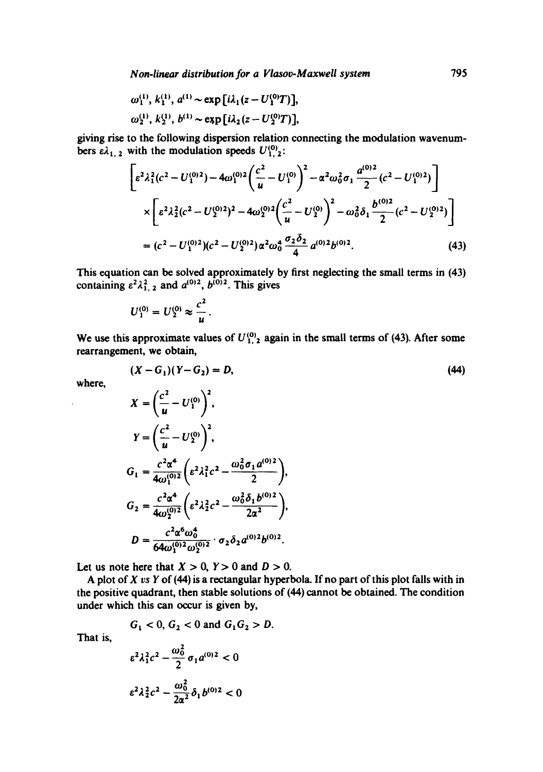$$
\omega_1^{(1)}, k_1^{(1)}, a^{(1)} \sim \exp[i\lambda_1(z - U_1^{(0)}T)],
$$
  
\n
$$
\omega_2^{(1)}, k_2^{(1)}, b^{(1)} \sim \exp[i\lambda_2(z - U_2^{(0)}T)],
$$

giving rise to the following dispersion relation connecting the modulation wavenumbers  $\epsilon \lambda_{1,2}$  with the modulation speeds  $U_{1,2}^{(0)}$ :

$$
\left[ \varepsilon^2 \lambda_1^2 (c^2 - U_1^{(0)2}) - 4\omega_1^{(0)2} \left( \frac{c^2}{u} - U_1^{(0)} \right)^2 - \alpha^2 \omega_0^2 \sigma_1 \frac{a^{(0)2}}{2} (c^2 - U_1^{(0)2}) \right] \times \left[ \varepsilon^2 \lambda_2^2 (c^2 - U_2^{(0)2})^2 - 4\omega_2^{(0)2} \left( \frac{c^2}{u} - U_2^{(0)} \right)^2 - \omega_0^2 \delta_1 \frac{b^{(0)2}}{2} (c^2 - U_2^{(0)2}) \right] \right] \tag{43}
$$

This equation can be solved approximately by first neglecting the small terms in (43) containing  $\varepsilon^2 \lambda_{1,2}^2$  and  $a^{(0)2}$ ,  $b^{(0)2}$ . This gives

$$
U_1^{(0)}=U_2^{(0)}\approx \frac{c^2}{u}.
$$

We use this approximate values of  $U_{1,2}^{(0)}$  again in the small terms of (43). After some rearrangement, we obtain,

$$
(X - G_1)(Y - G_2) = D,\t(44)
$$

where,

$$
X = \left(\frac{c^2}{u} - U_1^{(0)}\right)^2,
$$
  
\n
$$
Y = \left(\frac{c^2}{u} - U_2^{(0)}\right)^2,
$$
  
\n
$$
G_1 = \frac{c^2 \alpha^4}{4\omega_1^{(0)2}} \left(\varepsilon^2 \lambda_1^2 c^2 - \frac{\omega_0^2 \sigma_1 a^{(0)2}}{2}\right),
$$
  
\n
$$
G_2 = \frac{c^2 \alpha^4}{4\omega_2^{(0)2}} \left(\varepsilon^2 \lambda_2^2 c^2 - \frac{\omega_0^2 \delta_1 b^{(0)2}}{2\alpha^2}\right),
$$
  
\n
$$
D = \frac{c^2 \alpha^6 \omega_0^4}{64\omega_1^{(0)2} \omega_2^{(0)2}} \cdot \sigma_2 \delta_2 a^{(0)2} b^{(0)2}.
$$

Let us note here that  $X > 0$ ,  $Y > 0$  and  $D > 0$ .

A plot of *X vs Y* of (44) is a rectangular hyperbola. If no part of this plot falls with in the positive quadrant, then stable solutions of (44) cannot be obtained. The condition under which this can occur is given by,

$$
G_1 < 0, G_2 < 0 \text{ and } G_1 G_2 > D.
$$

That is,

$$
\varepsilon^2 \lambda_1^2 c^2 - \frac{\omega_0^2}{2} \sigma_1 a^{(0)2} < 0
$$
\n
$$
\varepsilon^2 \lambda_2^2 c^2 - \frac{\omega_0^2}{2\alpha^2} \delta_1 b^{(0)2} < 0
$$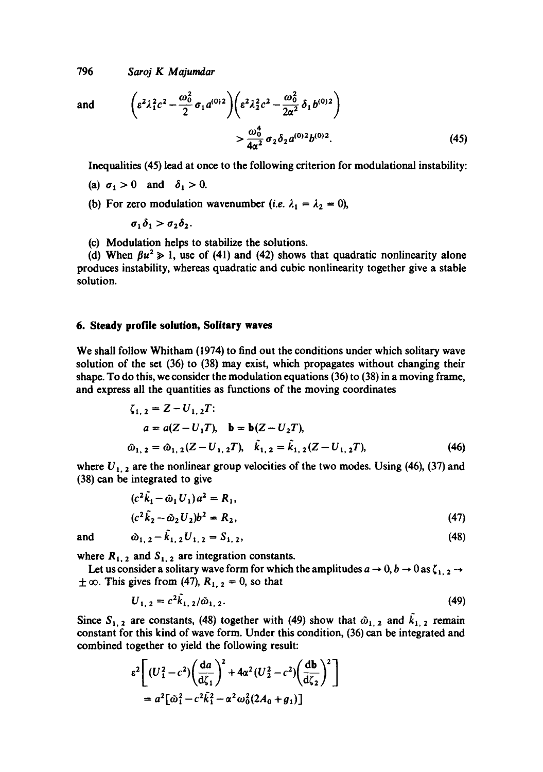and 
$$
\left(\varepsilon^2 \lambda_1^2 c^2 - \frac{\omega_0^2}{2} \sigma_1 a^{(0)2}\right) \left(\varepsilon^2 \lambda_2^2 c^2 - \frac{\omega_0^2}{2\alpha^2} \delta_1 b^{(0)2}\right) > \frac{\omega_0^4}{4\alpha^2} \sigma_2 \delta_2 a^{(0)2} b^{(0)2}.
$$
 (45)

Inequalities (45) lead at once to the following criterion for modulational instability:

- (a)  $\sigma_1>0$  and  $\delta_1>0$ .
- (b) For zero modulation wavenumber (*i.e.*  $\lambda_1 = \lambda_2 = 0$ ),

$$
\sigma_1\delta_1 > \sigma_2\delta_2.
$$

(c) Modulation helps to stabilize the solutions.

(d) When  $\beta u^2 \ge 1$ , use of (41) and (42) shows that quadratic nonlinearity alone produces instability, whereas quadratic and cubic nonlinearity together give a stable solution.

### **6. Steady profile solution, Solitary waves**

We shall follow Whitham (1974) to find out the conditions under which solitary wave solution of the set (36) to (38) may exist, which propagates without changing their shape. To do this, we consider the modulation equations (36) to (38) in a moving frame, and express all the quantities as functions of the moving coordinates

$$
\zeta_{1,2} = Z - U_{1,2}T;
$$
  
\n
$$
a = a(Z - U_1T), \quad b = b(Z - U_2T),
$$
  
\n
$$
\hat{\omega}_{1,2} = \hat{\omega}_{1,2}(Z - U_{1,2}T), \quad \hat{k}_{1,2} = \hat{k}_{1,2}(Z - U_{1,2}T),
$$
\n(46)

where  $U_{1, 2}$  are the nonlinear group velocities of the two modes. Using (46), (37) and (38) can be integrated to give

$$
(c2 \tilde{k}_1 - \tilde{\omega}_1 U_1) a2 = R_1,
$$
  
(c<sup>2</sup> \tilde{k}\_2 - \tilde{\omega}\_2 U\_2) b<sup>2</sup> = R\_2, (47)

and  $\hat{\omega}_{1, 2} - \hat{k}_{1, 2} U_{1, 2} = S_{1, 2}$ , (48)

where  $R_{1, 2}$  and  $S_{1, 2}$  are integration constants.

Let us consider a solitary wave form for which the amplitudes  $a \to 0, b \to 0$  as  $\zeta_{1,2} \to$  $\pm \infty$ . This gives from (47),  $R_{1,2} = 0$ , so that

$$
U_{1, 2} = c^2 k_{1, 2} / \tilde{\omega}_{1, 2}.
$$
 (49)

Since  $S_{1,2}$  are constants, (48) together with (49) show that  $\hat{\omega}_{1,2}$  and  $\hat{k}_{1,2}$  remain constant for this kind of wave form. Under this condition, (36) can be integrated and combined together to yield the following result:

$$
\varepsilon^2 \left[ (U_1^2 - c^2) \left( \frac{da}{d\zeta_1} \right)^2 + 4\alpha^2 (U_2^2 - c^2) \left( \frac{db}{d\zeta_2} \right)^2 \right]
$$
  
=  $a^2 [\tilde{\omega}_1^2 - c^2 \tilde{k}_1^2 - \alpha^2 \omega_0^2 (2A_0 + g_1)]$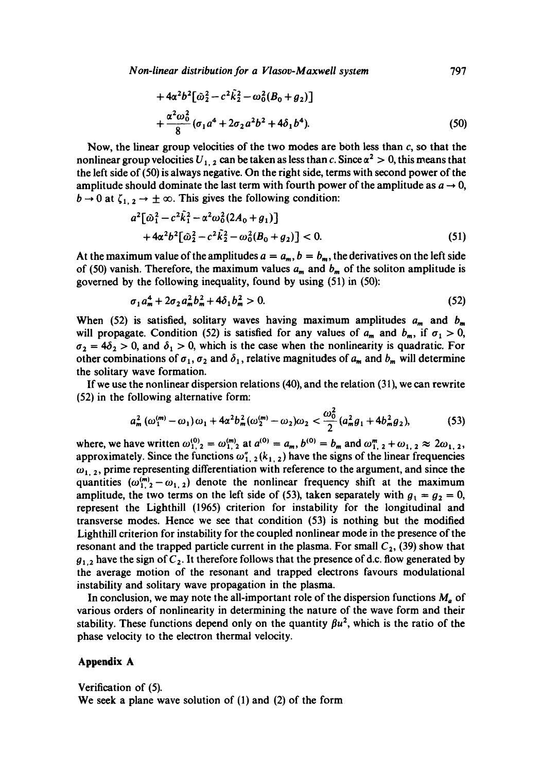*Non-linear distribution for a Vlasov-Maxwell system* 797

$$
+4\alpha^{2}b^{2}[\tilde{\omega}_{2}^{2}-c^{2}k_{2}^{2}-\omega_{0}^{2}(B_{0}+g_{2})]
$$
  
+
$$
\frac{\alpha^{2}\omega_{0}^{2}}{8}(\sigma_{1}a^{4}+2\sigma_{2}a^{2}b^{2}+4\delta_{1}b^{4}).
$$
 (50)

Now, the linear group velocities of the two modes are both less than  $c$ , so that the nonlinear group velocities  $U_{1, 2}$  can be taken as less than c. Since  $\alpha^2 > 0$ , this means that the left side of (50) is always negative. On the right side, terms with second power of the amplitude should dominate the last term with fourth power of the amplitude as  $a \rightarrow 0$ ,  $b \rightarrow 0$  at  $\zeta_{1,2} \rightarrow \pm \infty$ . This gives the following condition:

$$
a^{2}[\tilde{\omega}_{1}^{2} - c^{2}\tilde{k}_{1}^{2} - \alpha^{2}\omega_{0}^{2}(2A_{0} + g_{1})] + 4\alpha^{2}b^{2}[\tilde{\omega}_{2}^{2} - c^{2}\tilde{k}_{2}^{2} - \omega_{0}^{2}(B_{0} + g_{2})] < 0.
$$
 (51)

At the maximum value of the amplitudes  $a = a_m$ ,  $b = b_m$ , the derivatives on the left side of (50) vanish. Therefore, the maximum values  $a_m$  and  $b_m$  of the soliton amplitude is governed by the following inequality, found by using (51) in (50):

$$
\sigma_1 a_m^4 + 2 \sigma_2 a_m^2 b_m^2 + 4 \delta_1 b_m^2 > 0. \tag{52}
$$

When (52) is satisfied, solitary waves having maximum amplitudes  $a_m$  and  $b_m$ will propagate. Condition (52) is satisfied for any values of  $a_m$  and  $b_m$ , if  $\sigma_1 > 0$ ,  $\sigma_2 = 4\delta_2 > 0$ , and  $\delta_1 > 0$ , which is the case when the nonlinearity is quadratic. For other combinations of  $\sigma_1$ ,  $\sigma_2$  and  $\delta_1$ , relative magnitudes of  $a_m$  and  $b_m$  will determine the solitary wave formation.

If we use the nonlinear dispersion relations (40), and the relation (31), we can rewrite (52) in the following alternative form:

$$
a_m^2 \left( \omega_1^{(m)} - \omega_1 \right) \omega_1 + 4\alpha^2 b_m^2 (\omega_2^{(m)} - \omega_2) \omega_2 < \frac{\omega_0^2}{2} (a_m^2 g_1 + 4b_m^2 g_2), \tag{53}
$$

where, we have written  $\omega_{1,2}^{(0)} = \omega_{1,2}^{(m)}$  at  $a^{(0)} = a_m$ ,  $b^{(0)} = b_m$  and  $\omega_{1,2}^m + \omega_{1,2} \approx 2\omega_{1,2}$ , approximately. Since the functions  $\omega_{1, 2}^{\prime}(k_{1, 2})$  have the signs of the linear frequencies  $\omega_{1,2}$ , prime representing differentiation with reference to the argument, and since the quantities  $(\omega_1^{(m)}(2-\omega_{1,2}))$  denote the nonlinear frequency shift at the maximum amplitude, the two terms on the left side of (53), taken separately with  $g_1 = g_2 = 0$ , represent the Lighthill (1965) criterion for instability for the longitudinal and transverse modes. Hence we see that condition (53) is nothing but the modified Lighthill criterion for instability for the coupled nonlinear mode in the presence of the resonant and the trapped particle current in the plasma. For small  $C_2$ , (39) show that  $g_{1,2}$  have the sign of  $C_2$ . It therefore follows that the presence of d.c. flow generated by the average motion of the resonant and trapped electrons favours modulational instability and solitary wave propagation in the plasma.

In conclusion, we may note the all-important role of the dispersion functions  $M_a$  of various orders of nonlinearity in determining the nature of the wave form and their stability. These functions depend only on the quantity  $\beta u^2$ , which is the ratio of the phase velocity to the electron thermal velocity.

# **Appendix A**

Verification of (5). We seek a plane wave solution of (1) and (2) of the form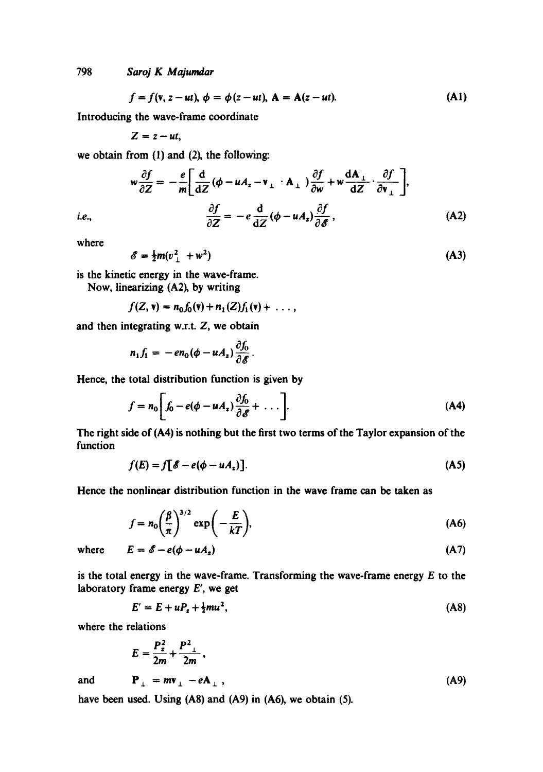$$
f = f(\mathbf{v}, z - ut), \phi = \phi(z - ut), \mathbf{A} = \mathbf{A}(z - ut). \tag{A1}
$$

Introducing the wave-frame coordinate

 $Z = z - ut$ ,

we obtain from (1) and (2), the following:

$$
w\frac{\partial f}{\partial Z} = -\frac{e}{m} \left[ \frac{d}{dZ} (\phi - u A_z - v_\perp \cdot A_\perp) \frac{\partial f}{\partial w} + w \frac{dA_\perp}{dZ} \cdot \frac{\partial f}{\partial v_\perp} \right],
$$
  

$$
\frac{\partial f}{\partial Z} = -e \frac{d}{dZ} (\phi - u A_z) \frac{\partial f}{\partial \mathscr{E}},
$$
 (A2)

*i.e.*, where

$$
\mathscr{E} = \frac{1}{2}m(v^2 + w^2) \tag{A3}
$$

is the kinetic energy in the wave-frame.

Now, linearizing (A2), by writing

$$
f(Z, v) = n_0 f_0(v) + n_1(Z) f_1(v) + \ldots,
$$

and then integrating **w.r.t. Z,** we obtain

$$
n_1f_1=-\mathit{en}_0(\phi-uA_z)\frac{\partial f_0}{\partial\mathscr{E}}.
$$

**Hence,** the total distribution function is given by

$$
f = n_0 \bigg[ f_0 - e(\phi - u A_z) \frac{\partial f_0}{\partial \mathscr{E}} + \dots \bigg].
$$
 (A4)

The right side of (A4) is nothing but the first two terms of the Taylor expansion of the function

$$
f(E) = f\big[\mathscr{E} - e(\phi - uA_z)\big].\tag{A5}
$$

Hence the nonlinear distribution function in the wave frame can be taken as

$$
f = n_0 \left(\frac{\beta}{\pi}\right)^{3/2} \exp\left(-\frac{E}{kT}\right),\tag{A6}
$$

where  $E = \mathscr{E} - e(\phi - uA_z)$  (A7)

is the total energy in the wave-frame. Transforming the wave-frame energy 
$$
E
$$
 to the laboratory frame energy  $E'$ , we get

$$
E' = E + uP_z + \frac{1}{2}mu^2,
$$
 (A8)

where the relations

$$
E = \frac{P_{z}^{2}}{2m} + \frac{P_{\perp}^{2}}{2m},
$$
  
and 
$$
P_{\perp} = m v_{\perp} - eA_{\perp},
$$
 (A9)

have been used. Using (A8) and (A9) in (A6), we obtain (5).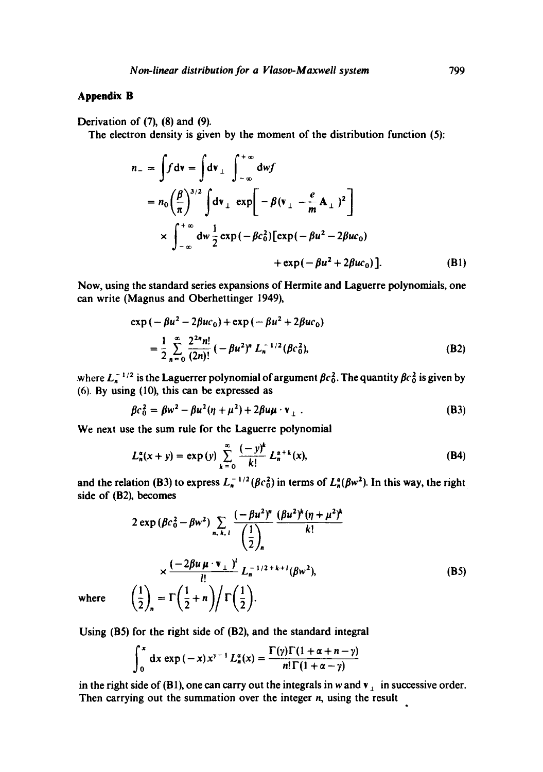# **Appendix B**

Derivation of (7), (8) and (9).

The electron density is given by the moment of the distribution function (5):

$$
n_{-} = \int f dv = \int dv_{\perp} \int_{-\infty}^{+\infty} dw f
$$
  
=  $n_{0} \left(\frac{\beta}{\pi}\right)^{3/2} \int dv_{\perp} exp\left[-\beta (v_{\perp} - \frac{e}{m} A_{\perp})^{2}\right]$   

$$
\times \int_{-\infty}^{+\infty} dw \frac{1}{2} exp(-\beta c_{0}^{2}) [exp(-\beta u^{2} - 2\beta uc_{0}) + exp(-\beta u^{2} + 2\beta uc_{0})].
$$
 (B1)

Now, using the standard series expansions of Hermite and Laguerre polynomials, one can write (Magnus and Oberhettinger 1949),

$$
\exp(-\beta u^2 - 2\beta u c_0) + \exp(-\beta u^2 + 2\beta u c_0)
$$
  
=  $\frac{1}{2} \sum_{n=0}^{\infty} \frac{2^{2n} n!}{(2n)!} (-\beta u^2)^n L_n^{-1/2} (\beta c_0^2),$  (B2)

where  $L_n^{-1/2}$  is the Laguerrer polynomial of argument  $\beta c_0^2$ . The quantity  $\beta c_0^2$  is given by (6). By using (10), this can be expressed as

$$
\beta c_0^2 = \beta w^2 - \beta u^2 (\eta + \mu^2) + 2\beta u \mu \cdot \mathbf{v}_\perp \,. \tag{B3}
$$

We next use the sum rule for the Laguerre polynomial

$$
L_n^{\alpha}(x+y) = \exp(y) \sum_{k=0}^{\infty} \frac{(-y)^k}{k!} L_n^{\alpha+k}(x), \tag{B4}
$$

and the relation (B3) to express  $L_n^{-1/2} (\beta c_0^2)$  in terms of  $L_n^{\alpha}(\beta w^2)$ . In this way, the right side of (B2), becomes

$$
2 \exp(\beta c_0^2 - \beta w^2) \sum_{n,k,\,l} \frac{(-\beta u^2)^n}{\left(\frac{1}{2}\right)_n} \frac{(\beta u^2)^k (\eta + \mu^2)^k}{k!}
$$
  
 
$$
\times \frac{(-2\beta u \mu \cdot v_\perp)^l}{l!} L_n^{-1/2 + k + l} (\beta w^2),
$$
  
\n
$$
\left(\frac{1}{2}\right)_n = \Gamma\left(\frac{1}{2} + n\right) / \Gamma\left(\frac{1}{2}\right).
$$
 (B5)

where

Using (B5) for the right side of (B2), and the standard integral

$$
\int_0^x dx \exp(-x) x^{\gamma-1} L_n^{\alpha}(x) = \frac{\Gamma(\gamma)\Gamma(1+\alpha+n-\gamma)}{n!\Gamma(1+\alpha-\gamma)}
$$

in the right side of (B1), one can carry out the integrals in w and  $v_{\perp}$  in successive order. Then carrying out the summation over the integer n, using the result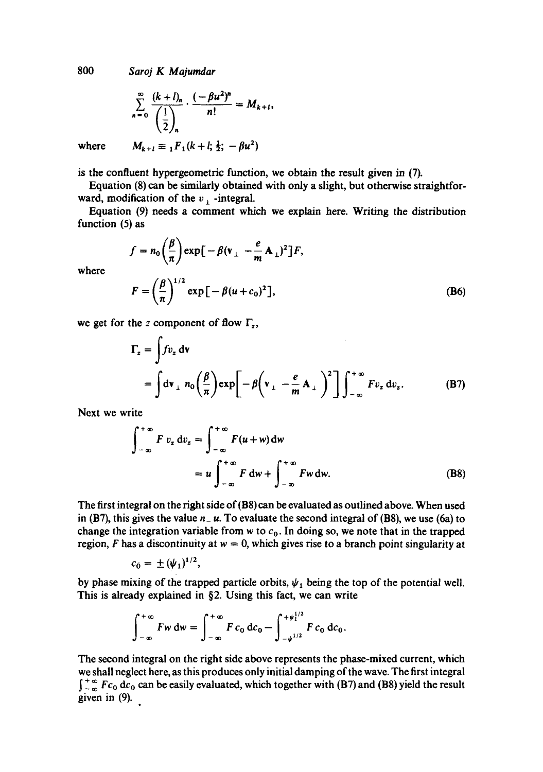$$
\sum_{n=0}^{\infty} \frac{(k+l)_n}{\left(\frac{1}{2}\right)_n} \cdot \frac{(-\beta u^2)^n}{n!} = M_{k+l},
$$
  

$$
M_{k+l} \equiv {}_1F_1(k+l; \frac{1}{2}; -\beta u^2)
$$

where

where

is the confluent hypergeometric function, we obtain the result given in (7).

Equation (8) can be similarly obtained with only a slight, but otherwise straightforward, modification of the  $v_{\perp}$  -integral.

Equation (9) needs a comment which we explain here. Writing the distribution function (5) as

$$
f = n_0 \left(\frac{\beta}{\pi}\right) \exp\left[-\beta (\mathbf{v}_{\perp} - \frac{e}{\mathbf{m}} \mathbf{A}_{\perp})^2\right] F,
$$
  

$$
F = \left(\frac{\beta}{\pi}\right)^{1/2} \exp\left[-\beta (u + c_0)^2\right],
$$
 (B6)

we get for the z component of flow  $\Gamma_z$ ,

$$
\Gamma_z = \int f v_z \, dv
$$
  
=  $\int dv_{\perp} n_0 \left(\frac{\beta}{\pi}\right) exp\left[-\beta \left(v_{\perp} - \frac{e}{m} A_{\perp}\right)^2\right] \int_{-\infty}^{+\infty} F v_z \, dv_z.$  (B7)

Next we write

$$
\int_{-\infty}^{+\infty} F v_z dv_z = \int_{-\infty}^{+\infty} F(u+w) dw
$$
  
=  $u \int_{-\infty}^{+\infty} F dw + \int_{-\infty}^{+\infty} F w dw.$  (B8)

The first integral on the right side of (B8) can be evaluated as outlined above. When used in (B7), this gives the value  $n - u$ . To evaluate the second integral of (B8), we use (6a) to change the integration variable from w to  $c<sub>0</sub>$ . In doing so, we note that in the trapped region, F has a discontinuity at  $w = 0$ , which gives rise to a branch point singularity at

$$
c_0 = \pm (\psi_1)^{1/2},
$$

by phase mixing of the trapped particle orbits,  $\psi_1$  being the top of the potential well. This is already explained in §2. Using this fact, we can write

$$
\int_{-\infty}^{+\infty} Fw \, dw = \int_{-\infty}^{+\infty} F c_0 \, dc_0 - \int_{-\psi^{1/2}}^{+\psi_1^{1/2}} F c_0 \, dc_0.
$$

The second integral on the right side above represents the phase-mixed current, which we shall neglect here, as this produces only initial damping of the wave. The first integral  $\int_{-\infty}^{+\infty} Fc_0 dc_0$  can be easily evaluated, which together with (B7) and (B8) yield the result given in (9).